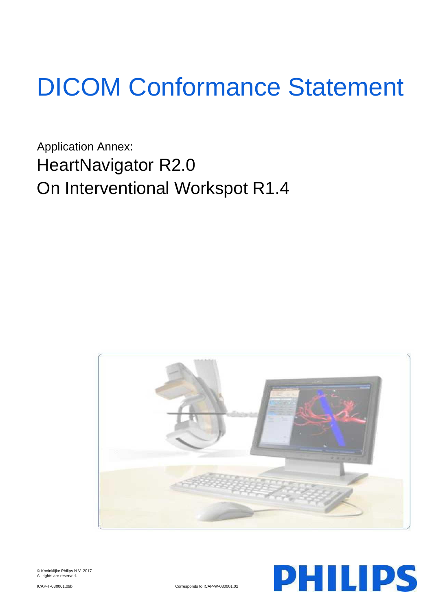# DICOM Conformance Statement

Application Annex: HeartNavigator R2.0 On Interventional Workspot R1.4





© Koninklijke Philips N.V. 2017 All rights are reserved.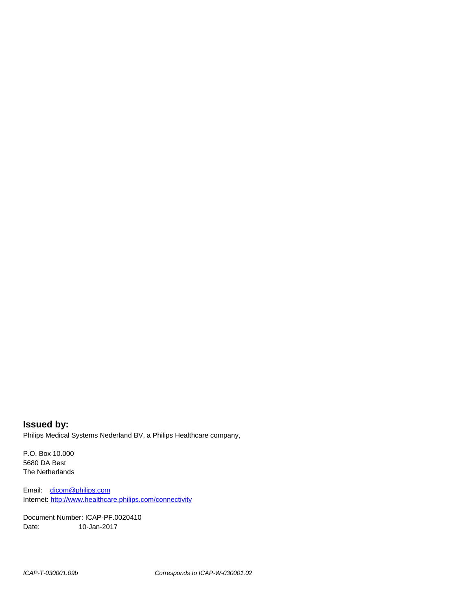**Issued by:** Philips Medical Systems Nederland BV, a Philips Healthcare company,

P.O. Box 10.000 5680 DA Best The Netherlands

Email: [dicom@philips.com](mailto:dicom@philips.com) Internet[: http://www.healthcare.philips.com/connectivity](http://www.healthcare.philips.com/connectivity)

Document Number: ICAP-PF.0020410 Date: 10-Jan-2017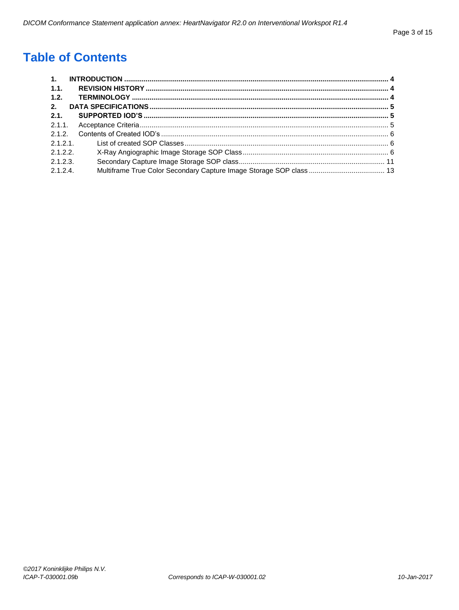# **Table of Contents**

| $\mathbf{1}$ . |  |
|----------------|--|
| 1.1.           |  |
| 1.2.           |  |
| 2.             |  |
| 2.1.           |  |
|                |  |
|                |  |
| 2.1.2.1        |  |
| 2.1.2.2.       |  |
| 2.1.2.3        |  |
| 2.1.2.4        |  |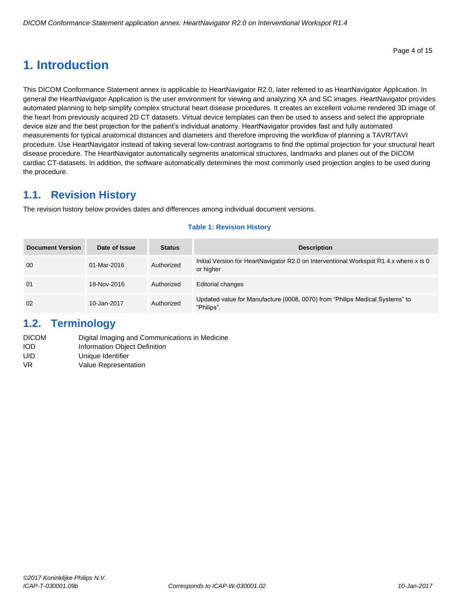# <span id="page-3-0"></span>**1. Introduction**

This DICOM Conformance Statement annex is applicable to HeartNavigator R2.0, later referred to as HeartNavigator Application. In general the HeartNavigator Application is the user environment for viewing and analyzing XA and SC images. HeartNavigator provides automated planning to help simplify complex structural heart disease procedures. It creates an excellent volume rendered 3D image of the heart from previously acquired 2D CT datasets. Virtual device templates can then be used to assess and select the appropriate device size and the best projection for the patient's individual anatomy. HeartNavigator provides fast and fully automated measurements for typical anatomical distances and diameters and therefore improving the workflow of planning a TAVR/TAVI procedure. Use HeartNavigator instead of taking several low-contrast aortograms to find the optimal projection for your structural heart disease procedure. The HeartNavigator automatically segments anatomical structures, landmarks and planes out of the DICOM cardiac CT-datasets. In addition, the software automatically determines the most commonly used projection angles to be used during the procedure.

## <span id="page-3-1"></span>**1.1. Revision History**

The revision history below provides dates and differences among individual document versions.

#### **Table 1: Revision History**

| <b>Document Version</b> | Date of Issue | <b>Status</b> | <b>Description</b>                                                                                  |
|-------------------------|---------------|---------------|-----------------------------------------------------------------------------------------------------|
| 00                      | 01-Mar-2016   | Authorized    | Initial Version for HeartNavigator R2.0 on Interventional Workspot R1.4.x where x is 0<br>or higher |
| 01                      | 18-Nov-2016   | Authorized    | <b>Editorial changes</b>                                                                            |
| 02                      | 10-Jan-2017   | Authorized    | Updated value for Manufacture (0008, 0070) from "Philips Medical Systems" to<br>"Philips"           |

## <span id="page-3-2"></span>**1.2. Terminology**

| Digital Imaging and Communications in Medicine |
|------------------------------------------------|
| Information Object Definition                  |
| Unique Identifier                              |
| Value Representation                           |
|                                                |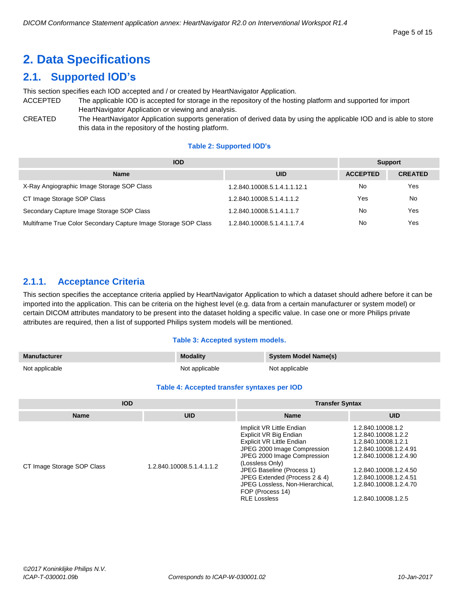# <span id="page-4-0"></span>**2. Data Specifications**

## <span id="page-4-1"></span>**2.1. Supported IOD's**

This section specifies each IOD accepted and / or created by HeartNavigator Application.

- ACCEPTED The applicable IOD is accepted for storage in the repository of the hosting platform and supported for import HeartNavigator Application or viewing and analysis.
- CREATED The HeartNavigator Application supports generation of derived data by using the applicable IOD and is able to store this data in the repository of the hosting platform.

#### **Table 2: Supported IOD's**

| <b>IOD</b>                                                      | <b>Support</b>               |                 |                |
|-----------------------------------------------------------------|------------------------------|-----------------|----------------|
| <b>Name</b>                                                     | <b>UID</b>                   | <b>ACCEPTED</b> | <b>CREATED</b> |
| X-Ray Angiographic Image Storage SOP Class                      | 1.2.840.10008.5.1.4.1.1.12.1 | No              | Yes            |
| CT Image Storage SOP Class                                      | 1.2.840.10008.5.1.4.1.1.2    | Yes             | No             |
| Secondary Capture Image Storage SOP Class                       | 1.2.840.10008.5.1.4.1.1.7    | No              | Yes            |
| Multiframe True Color Secondary Capture Image Storage SOP Class | 1.2.840.10008.5.1.4.1.1.7.4  | No              | Yes            |

### <span id="page-4-2"></span>**2.1.1. Acceptance Criteria**

This section specifies the acceptance criteria applied by HeartNavigator Application to which a dataset should adhere before it can be imported into the application. This can be criteria on the highest level (e.g. data from a certain manufacturer or system model) or certain DICOM attributes mandatory to be present into the dataset holding a specific value. In case one or more Philips private attributes are required, then a list of supported Philips system models will be mentioned.

#### **Table 3: Accepted system models.**

| <b>Manufacturer</b> | <b>Modality</b> | <b>System Model Name(s)</b> |
|---------------------|-----------------|-----------------------------|
| Not applicable      | Not applicable  | Not applicable              |

#### **Table 4: Accepted transfer syntaxes per IOD**

| <b>IOD</b>                 |                           | <b>Transfer Syntax</b>                                                                                                                                                                                                                                                                                         |                                                                                                                                                                                                                          |  |
|----------------------------|---------------------------|----------------------------------------------------------------------------------------------------------------------------------------------------------------------------------------------------------------------------------------------------------------------------------------------------------------|--------------------------------------------------------------------------------------------------------------------------------------------------------------------------------------------------------------------------|--|
| <b>Name</b>                | <b>UID</b>                | <b>Name</b>                                                                                                                                                                                                                                                                                                    | <b>UID</b>                                                                                                                                                                                                               |  |
| CT Image Storage SOP Class | 1.2.840.10008.5.1.4.1.1.2 | Implicit VR Little Endian<br>Explicit VR Big Endian<br>Explicit VR Little Endian<br>JPEG 2000 Image Compression<br>JPEG 2000 Image Compression<br>(Lossless Only)<br>JPEG Baseline (Process 1)<br>JPEG Extended (Process 2 & 4)<br>JPEG Lossless, Non-Hierarchical,<br>FOP (Process 14)<br><b>RLE Lossless</b> | 1.2.840.10008.1.2<br>1.2.840.10008.1.2.2<br>1.2.840.10008.1.2.1<br>1.2.840.10008.1.2.4.91<br>1.2.840.10008.1.2.4.90<br>1.2.840.10008.1.2.4.50<br>1.2.840.10008.1.2.4.51<br>1.2.840.10008.1.2.4.70<br>1.2.840.10008.1.2.5 |  |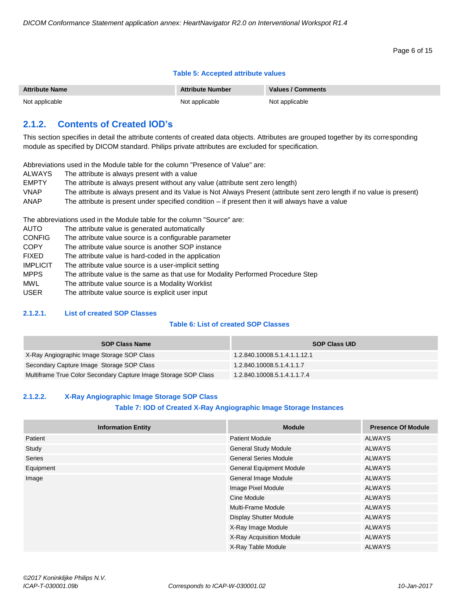#### Page 6 of 15

#### **Table 5: Accepted attribute values**

| <b>Attribute Name</b> | <b>Attribute Number</b> | Values / Comments |
|-----------------------|-------------------------|-------------------|
| Not applicable        | Not applicable          | Not applicable    |

#### <span id="page-5-0"></span>**2.1.2. Contents of Created IOD's**

This section specifies in detail the attribute contents of created data objects. Attributes are grouped together by its corresponding module as specified by DICOM standard. Philips private attributes are excluded for specification.

Abbreviations used in the Module table for the column "Presence of Value" are:

- ALWAYS The attribute is always present with a value
- EMPTY The attribute is always present without any value (attribute sent zero length) VNAP The attribute is always present and its Value is Not Always Present (attribute sent zero length if no value is present) ANAP The attribute is present under specified condition – if present then it will always have a value

The abbreviations used in the Module table for the column "Source" are:

| AUTO            | The attribute value is generated automatically                                    |
|-----------------|-----------------------------------------------------------------------------------|
| <b>CONFIG</b>   | The attribute value source is a configurable parameter                            |
| <b>COPY</b>     | The attribute value source is another SOP instance                                |
| <b>FIXED</b>    | The attribute value is hard-coded in the application                              |
| <b>IMPLICIT</b> | The attribute value source is a user-implicit setting                             |
| <b>MPPS</b>     | The attribute value is the same as that use for Modality Performed Procedure Step |
| <b>MWL</b>      | The attribute value source is a Modality Worklist                                 |
| <b>USER</b>     | The attribute value source is explicit user input                                 |

#### <span id="page-5-1"></span>**2.1.2.1. List of created SOP Classes**

#### **Table 6: List of created SOP Classes**

| <b>SOP Class Name</b>                                           | <b>SOP Class UID</b>         |
|-----------------------------------------------------------------|------------------------------|
| X-Ray Angiographic Image Storage SOP Class                      | 1.2.840.10008.5.1.4.1.1.12.1 |
| Secondary Capture Image Storage SOP Class                       | 1.2.840.10008.5.1.4.1.1.7    |
| Multiframe True Color Secondary Capture Image Storage SOP Class | 1.2.840.10008.5.1.4.1.1.7.4  |

#### <span id="page-5-2"></span>**2.1.2.2. X-Ray Angiographic Image Storage SOP Class**

#### **Table 7: IOD of Created X-Ray Angiographic Image Storage Instances**

| <b>Information Entity</b> | <b>Module</b>                   | <b>Presence Of Module</b> |
|---------------------------|---------------------------------|---------------------------|
| Patient                   | <b>Patient Module</b>           | ALWAYS                    |
| Study                     | <b>General Study Module</b>     | <b>ALWAYS</b>             |
| <b>Series</b>             | <b>General Series Module</b>    | <b>ALWAYS</b>             |
| Equipment                 | <b>General Equipment Module</b> | ALWAYS                    |
| Image                     | General Image Module            | <b>ALWAYS</b>             |
|                           | Image Pixel Module              | ALWAYS                    |
|                           | Cine Module                     | <b>ALWAYS</b>             |
|                           | Multi-Frame Module              | ALWAYS                    |
|                           | <b>Display Shutter Module</b>   | ALWAYS                    |
|                           | X-Ray Image Module              | <b>ALWAYS</b>             |
|                           | X-Ray Acquisition Module        | ALWAYS                    |
|                           | X-Ray Table Module              | <b>ALWAYS</b>             |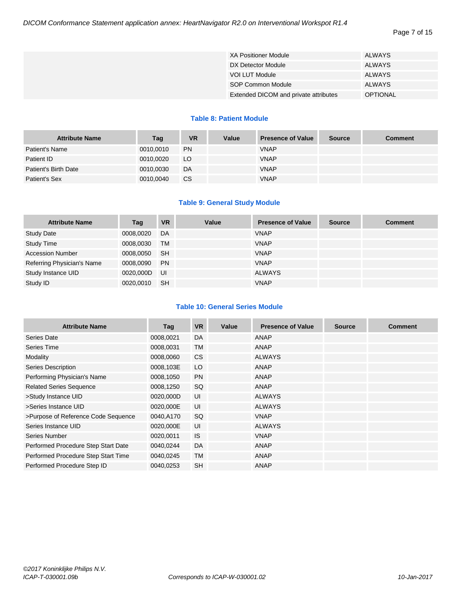| <b>XA Positioner Module</b>           | ALWAYS          |
|---------------------------------------|-----------------|
| DX Detector Module                    | ALWAYS          |
| VOI LUT Module                        | ALWAYS          |
| SOP Common Module                     | <b>ALWAYS</b>   |
| Extended DICOM and private attributes | <b>OPTIONAL</b> |

#### **Table 8: Patient Module**

| <b>Attribute Name</b> | Tag       | <b>VR</b>       | Value | <b>Presence of Value</b> | <b>Source</b> | Comment |
|-----------------------|-----------|-----------------|-------|--------------------------|---------------|---------|
| Patient's Name        | 0010,0010 | <b>PN</b>       |       | <b>VNAP</b>              |               |         |
| Patient ID            | 0010.0020 | LO <sub>1</sub> |       | <b>VNAP</b>              |               |         |
| Patient's Birth Date  | 0010,0030 | DA              |       | <b>VNAP</b>              |               |         |
| Patient's Sex         | 0010,0040 | CS.             |       | <b>VNAP</b>              |               |         |

#### **Table 9: General Study Module**

| <b>Attribute Name</b>      | Tag       | <b>VR</b> | Value | <b>Presence of Value</b> | <b>Source</b> | <b>Comment</b> |
|----------------------------|-----------|-----------|-------|--------------------------|---------------|----------------|
| <b>Study Date</b>          | 0008,0020 | DA        |       | <b>VNAP</b>              |               |                |
| <b>Study Time</b>          | 0008,0030 | <b>TM</b> |       | <b>VNAP</b>              |               |                |
| <b>Accession Number</b>    | 0008,0050 | <b>SH</b> |       | <b>VNAP</b>              |               |                |
| Referring Physician's Name | 0008.0090 | <b>PN</b> |       | <b>VNAP</b>              |               |                |
| Study Instance UID         | 0020.000D | <b>UI</b> |       | <b>ALWAYS</b>            |               |                |
| Study ID                   | 0020.0010 | <b>SH</b> |       | <b>VNAP</b>              |               |                |

#### **Table 10: General Series Module**

| <b>Attribute Name</b>               | Tag       | <b>VR</b> | Value | <b>Presence of Value</b> | <b>Source</b> | <b>Comment</b> |
|-------------------------------------|-----------|-----------|-------|--------------------------|---------------|----------------|
| Series Date                         | 0008,0021 | DA        |       | ANAP                     |               |                |
| Series Time                         | 0008,0031 | <b>TM</b> |       | ANAP                     |               |                |
| Modality                            | 0008,0060 | <b>CS</b> |       | <b>ALWAYS</b>            |               |                |
| Series Description                  | 0008,103E | LO        |       | ANAP                     |               |                |
| Performing Physician's Name         | 0008,1050 | <b>PN</b> |       | ANAP                     |               |                |
| <b>Related Series Sequence</b>      | 0008,1250 | SQ        |       | ANAP                     |               |                |
| >Study Instance UID                 | 0020,000D | UI        |       | <b>ALWAYS</b>            |               |                |
| >Series Instance UID                | 0020,000E | UI        |       | <b>ALWAYS</b>            |               |                |
| >Purpose of Reference Code Sequence | 0040,A170 | <b>SQ</b> |       | <b>VNAP</b>              |               |                |
| Series Instance UID                 | 0020,000E | UI        |       | <b>ALWAYS</b>            |               |                |
| Series Number                       | 0020,0011 | <b>IS</b> |       | <b>VNAP</b>              |               |                |
| Performed Procedure Step Start Date | 0040,0244 | DA        |       | ANAP                     |               |                |
| Performed Procedure Step Start Time | 0040,0245 | <b>TM</b> |       | ANAP                     |               |                |
| Performed Procedure Step ID         | 0040,0253 | <b>SH</b> |       | <b>ANAP</b>              |               |                |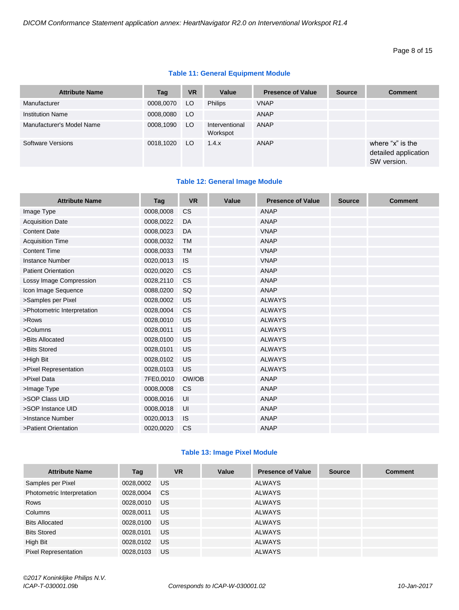#### **Table 11: General Equipment Module**

| <b>Attribute Name</b>     | Tag       | <b>VR</b> | Value                      | <b>Presence of Value</b> | <b>Source</b> | <b>Comment</b>                                          |
|---------------------------|-----------|-----------|----------------------------|--------------------------|---------------|---------------------------------------------------------|
| Manufacturer              | 0008,0070 | LO.       | <b>Philips</b>             | <b>VNAP</b>              |               |                                                         |
| <b>Institution Name</b>   | 0008,0080 | LO        |                            | ANAP                     |               |                                                         |
| Manufacturer's Model Name | 0008,1090 | LO.       | Interventional<br>Workspot | ANAP                     |               |                                                         |
| Software Versions         | 0018,1020 | LO.       | 1.4.x                      | ANAP                     |               | where "x" is the<br>detailed application<br>SW version. |

#### **Table 12: General Image Module**

| <b>Attribute Name</b>       | Tag       | <b>VR</b> | Value | <b>Presence of Value</b> | <b>Source</b> | <b>Comment</b> |
|-----------------------------|-----------|-----------|-------|--------------------------|---------------|----------------|
| Image Type                  | 0008,0008 | <b>CS</b> |       | <b>ANAP</b>              |               |                |
| <b>Acquisition Date</b>     | 0008,0022 | DA        |       | <b>ANAP</b>              |               |                |
| <b>Content Date</b>         | 0008,0023 | DA        |       | <b>VNAP</b>              |               |                |
| <b>Acquisition Time</b>     | 0008,0032 | <b>TM</b> |       | <b>ANAP</b>              |               |                |
| <b>Content Time</b>         | 0008,0033 | <b>TM</b> |       | <b>VNAP</b>              |               |                |
| <b>Instance Number</b>      | 0020,0013 | <b>IS</b> |       | <b>VNAP</b>              |               |                |
| <b>Patient Orientation</b>  | 0020,0020 | <b>CS</b> |       | <b>ANAP</b>              |               |                |
| Lossy Image Compression     | 0028,2110 | <b>CS</b> |       | <b>ANAP</b>              |               |                |
| Icon Image Sequence         | 0088,0200 | SQ        |       | <b>ANAP</b>              |               |                |
| >Samples per Pixel          | 0028,0002 | US        |       | <b>ALWAYS</b>            |               |                |
| >Photometric Interpretation | 0028,0004 | <b>CS</b> |       | <b>ALWAYS</b>            |               |                |
| >Rows                       | 0028,0010 | <b>US</b> |       | <b>ALWAYS</b>            |               |                |
| >Columns                    | 0028,0011 | US        |       | <b>ALWAYS</b>            |               |                |
| >Bits Allocated             | 0028,0100 | <b>US</b> |       | <b>ALWAYS</b>            |               |                |
| >Bits Stored                | 0028,0101 | US        |       | <b>ALWAYS</b>            |               |                |
| >High Bit                   | 0028,0102 | <b>US</b> |       | <b>ALWAYS</b>            |               |                |
| >Pixel Representation       | 0028,0103 | <b>US</b> |       | <b>ALWAYS</b>            |               |                |
| >Pixel Data                 | 7FE0,0010 | OW/OB     |       | <b>ANAP</b>              |               |                |
| >Image Type                 | 0008,0008 | <b>CS</b> |       | <b>ANAP</b>              |               |                |
| >SOP Class UID              | 0008,0016 | UI        |       | <b>ANAP</b>              |               |                |
| >SOP Instance UID           | 0008,0018 | UI        |       | <b>ANAP</b>              |               |                |
| >Instance Number            | 0020,0013 | <b>IS</b> |       | <b>ANAP</b>              |               |                |
| >Patient Orientation        | 0020,0020 | CS        |       | <b>ANAP</b>              |               |                |

#### **Table 13: Image Pixel Module**

| <b>Attribute Name</b>       | Tag       | <b>VR</b> | Value | <b>Presence of Value</b> | <b>Source</b> | <b>Comment</b> |
|-----------------------------|-----------|-----------|-------|--------------------------|---------------|----------------|
| Samples per Pixel           | 0028,0002 | US.       |       | <b>ALWAYS</b>            |               |                |
| Photometric Interpretation  | 0028,0004 | CS.       |       | <b>ALWAYS</b>            |               |                |
| Rows                        | 0028,0010 | US.       |       | ALWAYS                   |               |                |
| Columns                     | 0028,0011 | US.       |       | ALWAYS                   |               |                |
| <b>Bits Allocated</b>       | 0028,0100 | US.       |       | ALWAYS                   |               |                |
| <b>Bits Stored</b>          | 0028,0101 | US.       |       | ALWAYS                   |               |                |
| High Bit                    | 0028,0102 | US.       |       | <b>ALWAYS</b>            |               |                |
| <b>Pixel Representation</b> | 0028.0103 | <b>US</b> |       | <b>ALWAYS</b>            |               |                |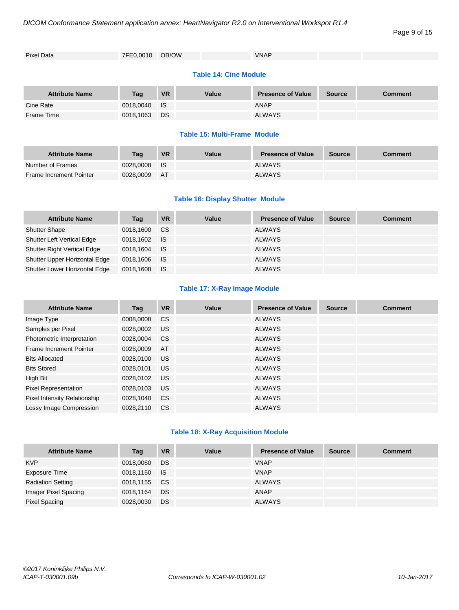| Pixel Data | 7FE0,0010 OB/OW | <b>VNAP</b> |  |  |
|------------|-----------------|-------------|--|--|
|            |                 |             |  |  |

#### **Table 14: Cine Module**

| <b>Attribute Name</b> | Tag          | <b>VR</b> | Value | <b>Presence of Value</b> | <b>Source</b> | <b>Comment</b> |
|-----------------------|--------------|-----------|-------|--------------------------|---------------|----------------|
| Cine Rate             | 0018,0040 IS |           |       | <b>ANAP</b>              |               |                |
| Frame Time            | 0018.1063    | <b>DS</b> |       | <b>ALWAYS</b>            |               |                |

#### **Table 15: Multi-Frame Module**

| <b>Attribute Name</b>          | Tag       | <b>VR</b> | Value | <b>Presence of Value</b> | <b>Source</b> | Comment |
|--------------------------------|-----------|-----------|-------|--------------------------|---------------|---------|
| Number of Frames               | 0028.0008 | - IS      |       | <b>ALWAYS</b>            |               |         |
| <b>Frame Increment Pointer</b> | 0028.0009 | - AT      |       | <b>ALWAYS</b>            |               |         |

#### **Table 16: Display Shutter Module**

| <b>Attribute Name</b>              | Tag          | <b>VR</b> | Value | <b>Presence of Value</b> | <b>Source</b> | <b>Comment</b> |
|------------------------------------|--------------|-----------|-------|--------------------------|---------------|----------------|
| <b>Shutter Shape</b>               | 0018,1600    | CS.       |       | <b>ALWAYS</b>            |               |                |
| <b>Shutter Left Vertical Edge</b>  | 0018.1602 IS |           |       | <b>ALWAYS</b>            |               |                |
| <b>Shutter Right Vertical Edge</b> | 0018.1604    | <b>IS</b> |       | <b>ALWAYS</b>            |               |                |
| Shutter Upper Horizontal Edge      | 0018.1606 IS |           |       | <b>ALWAYS</b>            |               |                |
| Shutter Lower Horizontal Edge      | 0018.1608    | ⊟ IS      |       | <b>ALWAYS</b>            |               |                |

#### **Table 17: X-Ray Image Module**

| <b>Attribute Name</b>        | Tag       | <b>VR</b> | Value | <b>Presence of Value</b> | <b>Source</b> | <b>Comment</b> |
|------------------------------|-----------|-----------|-------|--------------------------|---------------|----------------|
| Image Type                   | 0008,0008 | <b>CS</b> |       | <b>ALWAYS</b>            |               |                |
| Samples per Pixel            | 0028.0002 | US.       |       | <b>ALWAYS</b>            |               |                |
| Photometric Interpretation   | 0028,0004 | <b>CS</b> |       | <b>ALWAYS</b>            |               |                |
| Frame Increment Pointer      | 0028,0009 | AT        |       | <b>ALWAYS</b>            |               |                |
| <b>Bits Allocated</b>        | 0028,0100 | <b>US</b> |       | <b>ALWAYS</b>            |               |                |
| <b>Bits Stored</b>           | 0028.0101 | US.       |       | <b>ALWAYS</b>            |               |                |
| High Bit                     | 0028,0102 | <b>US</b> |       | <b>ALWAYS</b>            |               |                |
| <b>Pixel Representation</b>  | 0028,0103 | US.       |       | <b>ALWAYS</b>            |               |                |
| Pixel Intensity Relationship | 0028.1040 | <b>CS</b> |       | <b>ALWAYS</b>            |               |                |
| Lossy Image Compression      | 0028.2110 | <b>CS</b> |       | <b>ALWAYS</b>            |               |                |

#### **Table 18: X-Ray Acquisition Module**

| <b>Attribute Name</b>    | Tag       | <b>VR</b> | Value | <b>Presence of Value</b> | <b>Source</b> | <b>Comment</b> |
|--------------------------|-----------|-----------|-------|--------------------------|---------------|----------------|
| <b>KVP</b>               | 0018,0060 | <b>DS</b> |       | <b>VNAP</b>              |               |                |
| Exposure Time            | 0018,1150 | <b>IS</b> |       | <b>VNAP</b>              |               |                |
| <b>Radiation Setting</b> | 0018,1155 | CS.       |       | ALWAYS                   |               |                |
| Imager Pixel Spacing     | 0018,1164 | DS        |       | ANAP                     |               |                |
| Pixel Spacing            | 0028,0030 | <b>DS</b> |       | <b>ALWAYS</b>            |               |                |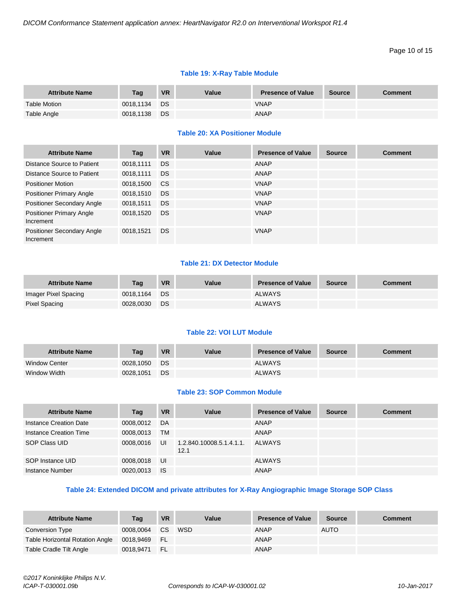#### Page 10 of 15

#### **Table 19: X-Ray Table Module**

| <b>Attribute Name</b> | <b>Tag</b> | <b>VR</b> | Value | <b>Presence of Value</b> | <b>Source</b> | <b>Comment</b> |
|-----------------------|------------|-----------|-------|--------------------------|---------------|----------------|
| <b>Table Motion</b>   | 0018.1134  | DS.       |       | <b>VNAP</b>              |               |                |
| Table Angle           | 0018.1138  | DS        |       | <b>ANAP</b>              |               |                |

#### **Table 20: XA Positioner Module**

| <b>Attribute Name</b>                        | Tag       | <b>VR</b>     | Value | <b>Presence of Value</b> | <b>Source</b> | <b>Comment</b> |
|----------------------------------------------|-----------|---------------|-------|--------------------------|---------------|----------------|
| Distance Source to Patient                   | 0018,1111 | DS.           |       | ANAP                     |               |                |
| Distance Source to Patient                   | 0018.1111 | DS.           |       | ANAP                     |               |                |
| <b>Positioner Motion</b>                     | 0018,1500 | <sub>CS</sub> |       | <b>VNAP</b>              |               |                |
| <b>Positioner Primary Angle</b>              | 0018,1510 | DS.           |       | <b>VNAP</b>              |               |                |
| Positioner Secondary Angle                   | 0018.1511 | DS.           |       | <b>VNAP</b>              |               |                |
| <b>Positioner Primary Angle</b><br>Increment | 0018,1520 | DS.           |       | <b>VNAP</b>              |               |                |
| Positioner Secondary Angle<br>Increment      | 0018,1521 | <b>DS</b>     |       | <b>VNAP</b>              |               |                |

#### **Table 21: DX Detector Module**

| <b>Attribute Name</b> | Tag       | <b>VR</b> | Value | <b>Presence of Value</b> | Source | Comment |
|-----------------------|-----------|-----------|-------|--------------------------|--------|---------|
| Imager Pixel Spacing  | 0018.1164 | <b>DS</b> |       | <b>ALWAYS</b>            |        |         |
| Pixel Spacing         | 0028.0030 | DS        |       | <b>ALWAYS</b>            |        |         |

#### **Table 22: VOI LUT Module**

| <b>Attribute Name</b> | Tag       | <b>VR</b> | Value | <b>Presence of Value</b> | <b>Source</b> | <b>Comment</b> |
|-----------------------|-----------|-----------|-------|--------------------------|---------------|----------------|
| Window Center         | 0028.1050 | <b>DS</b> |       | <b>ALWAYS</b>            |               |                |
| Window Width          | 0028,1051 | DS        |       | <b>ALWAYS</b>            |               |                |

#### **Table 23: SOP Common Module**

| <b>Attribute Name</b>  | Tag       | <b>VR</b> | Value                            | <b>Presence of Value</b> | <b>Source</b> | <b>Comment</b> |
|------------------------|-----------|-----------|----------------------------------|--------------------------|---------------|----------------|
| Instance Creation Date | 0008,0012 | DA        |                                  | ANAP                     |               |                |
| Instance Creation Time | 0008,0013 | <b>TM</b> |                                  | <b>ANAP</b>              |               |                |
| SOP Class UID          | 0008,0016 | UI        | 1.2.840.10008.5.1.4.1.1.<br>12.1 | ALWAYS                   |               |                |
| SOP Instance UID       | 0008,0018 | UI        |                                  | <b>ALWAYS</b>            |               |                |
| Instance Number        | 0020.0013 | - IS      |                                  | ANAP                     |               |                |

#### **Table 24: Extended DICOM and private attributes for X-Ray Angiographic Image Storage SOP Class**

| <b>Attribute Name</b>           | Tag          | <b>VR</b>        | Value | <b>Presence of Value</b> | <b>Source</b> | <b>Comment</b> |
|---------------------------------|--------------|------------------|-------|--------------------------|---------------|----------------|
| Conversion Type                 | 0008.0064    | $\Box$ CS $\Box$ | WSD   | ANAP                     | <b>AUTO</b>   |                |
| Table Horizontal Rotation Angle | 0018.9469 FL |                  |       | <b>ANAP</b>              |               |                |
| Table Cradle Tilt Angle         | 0018.9471    | i FL             |       | ANAP                     |               |                |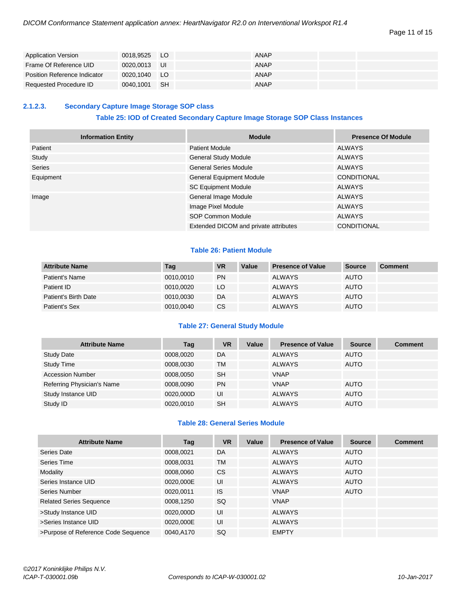| <b>Application Version</b>   | 0018.9525 | LO.  | <b>ANAP</b> |  |
|------------------------------|-----------|------|-------------|--|
| Frame Of Reference UID       | 0020.0013 | - UI | <b>ANAP</b> |  |
| Position Reference Indicator | 0020.1040 | - LO | <b>ANAP</b> |  |
| Requested Procedure ID       | 0040.1001 | -SH  | <b>ANAP</b> |  |

#### <span id="page-10-0"></span>**2.1.2.3. Secondary Capture Image Storage SOP class**

#### **Table 25: IOD of Created Secondary Capture Image Storage SOP Class Instances**

| <b>Information Entity</b> | <b>Module</b>                         | <b>Presence Of Module</b> |
|---------------------------|---------------------------------------|---------------------------|
| Patient                   | <b>Patient Module</b>                 | ALWAYS                    |
| Study                     | <b>General Study Module</b>           | ALWAYS                    |
| Series                    | <b>General Series Module</b>          | <b>ALWAYS</b>             |
| Equipment                 | <b>General Equipment Module</b>       | <b>CONDITIONAL</b>        |
|                           | <b>SC Equipment Module</b>            | ALWAYS                    |
| Image                     | General Image Module                  | <b>ALWAYS</b>             |
|                           | Image Pixel Module                    | ALWAYS                    |
|                           | <b>SOP Common Module</b>              | <b>ALWAYS</b>             |
|                           | Extended DICOM and private attributes | <b>CONDITIONAL</b>        |

#### **Table 26: Patient Module**

| <b>Attribute Name</b> | Tag       | <b>VR</b> | Value | <b>Presence of Value</b> | <b>Source</b> | <b>Comment</b> |
|-----------------------|-----------|-----------|-------|--------------------------|---------------|----------------|
| Patient's Name        | 0010,0010 | <b>PN</b> |       | <b>ALWAYS</b>            | <b>AUTO</b>   |                |
| Patient ID            | 0010.0020 | LO.       |       | <b>ALWAYS</b>            | <b>AUTO</b>   |                |
| Patient's Birth Date  | 0010,0030 | DA        |       | <b>ALWAYS</b>            | <b>AUTO</b>   |                |
| Patient's Sex         | 0010,0040 | <b>CS</b> |       | <b>ALWAYS</b>            | <b>AUTO</b>   |                |

#### **Table 27: General Study Module**

| <b>Attribute Name</b>      | Tag       | <b>VR</b> | Value | <b>Presence of Value</b> | <b>Source</b> | <b>Comment</b> |
|----------------------------|-----------|-----------|-------|--------------------------|---------------|----------------|
| <b>Study Date</b>          | 0008,0020 | DA        |       | <b>ALWAYS</b>            | <b>AUTO</b>   |                |
| <b>Study Time</b>          | 0008,0030 | TM        |       | <b>ALWAYS</b>            | <b>AUTO</b>   |                |
| <b>Accession Number</b>    | 0008,0050 | <b>SH</b> |       | <b>VNAP</b>              |               |                |
| Referring Physician's Name | 0008,0090 | <b>PN</b> |       | <b>VNAP</b>              | <b>AUTO</b>   |                |
| Study Instance UID         | 0020,000D | UI        |       | <b>ALWAYS</b>            | <b>AUTO</b>   |                |
| Study ID                   | 0020,0010 | <b>SH</b> |       | <b>ALWAYS</b>            | <b>AUTO</b>   |                |

#### **Table 28: General Series Module**

| <b>Attribute Name</b>               | Tag       | <b>VR</b> | Value | <b>Presence of Value</b> | <b>Source</b> | <b>Comment</b> |
|-------------------------------------|-----------|-----------|-------|--------------------------|---------------|----------------|
| Series Date                         | 0008.0021 | DA        |       | <b>ALWAYS</b>            | <b>AUTO</b>   |                |
| Series Time                         | 0008,0031 | <b>TM</b> |       | <b>ALWAYS</b>            | <b>AUTO</b>   |                |
| Modality                            | 0008,0060 | <b>CS</b> |       | <b>ALWAYS</b>            | <b>AUTO</b>   |                |
| Series Instance UID                 | 0020,000E | UI        |       | <b>ALWAYS</b>            | <b>AUTO</b>   |                |
| Series Number                       | 0020,0011 | <b>IS</b> |       | <b>VNAP</b>              | <b>AUTO</b>   |                |
| <b>Related Series Sequence</b>      | 0008,1250 | SQ        |       | <b>VNAP</b>              |               |                |
| >Study Instance UID                 | 0020,000D | UI        |       | <b>ALWAYS</b>            |               |                |
| >Series Instance UID                | 0020,000E | UI        |       | <b>ALWAYS</b>            |               |                |
| >Purpose of Reference Code Sequence | 0040,A170 | SQ        |       | <b>EMPTY</b>             |               |                |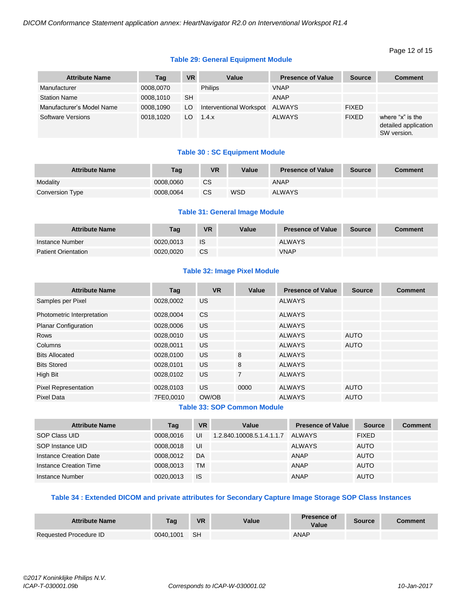#### Page 12 of 15

#### **Table 29: General Equipment Module**

| <b>Attribute Name</b>     | Tag       | <b>VR</b> | Value                   | <b>Presence of Value</b> | <b>Source</b> | <b>Comment</b>                                          |
|---------------------------|-----------|-----------|-------------------------|--------------------------|---------------|---------------------------------------------------------|
| Manufacturer              | 0008,0070 |           | <b>Philips</b>          | <b>VNAP</b>              |               |                                                         |
| <b>Station Name</b>       | 0008,1010 | <b>SH</b> |                         | <b>ANAP</b>              |               |                                                         |
| Manufacturer's Model Name | 0008,1090 | LO.       | Interventional Workspot | <b>ALWAYS</b>            | <b>FIXED</b>  |                                                         |
| <b>Software Versions</b>  | 0018,1020 | LO.       | 1.4.x                   | <b>ALWAYS</b>            | <b>FIXED</b>  | where "x" is the<br>detailed application<br>SW version. |

#### **Table 30 : SC Equipment Module**

| <b>Attribute Name</b> | Taq       | VR        | Value | <b>Presence of Value</b> | <b>Source</b> | <b>Comment</b> |
|-----------------------|-----------|-----------|-------|--------------------------|---------------|----------------|
| Modality              | 0008.0060 | <b>CS</b> |       | <b>ANAP</b>              |               |                |
| Conversion Type       | 0008,0064 | <b>CS</b> | WSD   | <b>ALWAYS</b>            |               |                |

#### **Table 31: General Image Module**

| <b>Attribute Name</b>      | Tag       | <b>VR</b> | Value | <b>Presence of Value</b> | <b>Source</b> | <b>Comment</b> |
|----------------------------|-----------|-----------|-------|--------------------------|---------------|----------------|
| Instance Number            | 0020.0013 | IS        |       | <b>ALWAYS</b>            |               |                |
| <b>Patient Orientation</b> | 0020.0020 | <b>CS</b> |       | <b>VNAP</b>              |               |                |

#### **Table 32: Image Pixel Module**

| <b>Attribute Name</b>       | Tag       | <b>VR</b>      | Value          | <b>Presence of Value</b> | <b>Source</b> | <b>Comment</b> |
|-----------------------------|-----------|----------------|----------------|--------------------------|---------------|----------------|
| Samples per Pixel           | 0028,0002 | US.            |                | <b>ALWAYS</b>            |               |                |
| Photometric Interpretation  | 0028,0004 | C <sub>S</sub> |                | <b>ALWAYS</b>            |               |                |
| <b>Planar Configuration</b> | 0028,0006 | US.            |                | <b>ALWAYS</b>            |               |                |
| Rows                        | 0028,0010 | US.            |                | <b>ALWAYS</b>            | <b>AUTO</b>   |                |
| Columns                     | 0028,0011 | US.            |                | <b>ALWAYS</b>            | <b>AUTO</b>   |                |
| <b>Bits Allocated</b>       | 0028,0100 | US.            | 8              | <b>ALWAYS</b>            |               |                |
| <b>Bits Stored</b>          | 0028,0101 | US.            | 8              | <b>ALWAYS</b>            |               |                |
| High Bit                    | 0028,0102 | US.            | $\overline{7}$ | <b>ALWAYS</b>            |               |                |
| <b>Pixel Representation</b> | 0028,0103 | US.            | 0000           | <b>ALWAYS</b>            | <b>AUTO</b>   |                |
| <b>Pixel Data</b>           | 7FE0,0010 | OW/OB          |                | <b>ALWAYS</b>            | <b>AUTO</b>   |                |

#### **Table 33: SOP Common Module**

| <b>Attribute Name</b>  | Tag       | <b>VR</b> | Value                     | <b>Presence of Value</b> | <b>Source</b> | <b>Comment</b> |
|------------------------|-----------|-----------|---------------------------|--------------------------|---------------|----------------|
| SOP Class UID          | 0008.0016 | UI        | 1.2.840.10008.5.1.4.1.1.7 | ALWAYS                   | <b>FIXED</b>  |                |
| SOP Instance UID       | 0008.0018 | UI        |                           | ALWAYS                   | <b>AUTO</b>   |                |
| Instance Creation Date | 0008.0012 | DA        |                           | ANAP                     | <b>AUTO</b>   |                |
| Instance Creation Time | 0008.0013 | <b>TM</b> |                           | ANAP                     | <b>AUTO</b>   |                |
| Instance Number        | 0020.0013 | <b>IS</b> |                           | ANAP                     | <b>AUTO</b>   |                |

#### **Table 34 : Extended DICOM and private attributes for Secondary Capture Image Storage SOP Class Instances**

| <b>Attribute Name</b>  | Tag       | <b>VR</b> | Value | <b>Presence of</b><br>Value | Source | comment? |
|------------------------|-----------|-----------|-------|-----------------------------|--------|----------|
| Requested Procedure ID | 0040.1001 | -SH       |       | ANAP                        |        |          |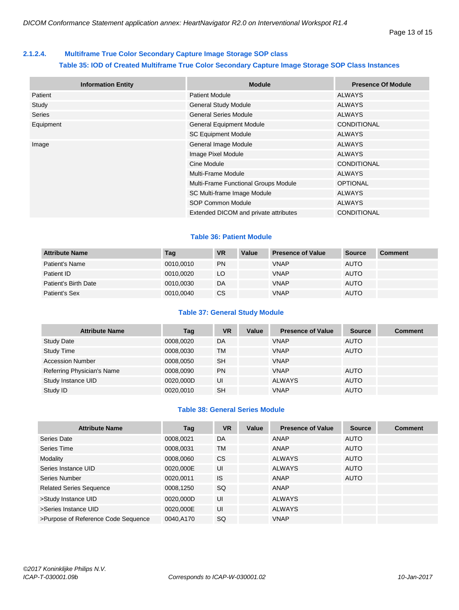#### <span id="page-12-0"></span>**2.1.2.4. Multiframe True Color Secondary Capture Image Storage SOP class**

#### **Table 35: IOD of Created Multiframe True Color Secondary Capture Image Storage SOP Class Instances**

| <b>Information Entity</b> | <b>Module</b>                         | <b>Presence Of Module</b> |
|---------------------------|---------------------------------------|---------------------------|
| Patient                   | <b>Patient Module</b>                 | <b>ALWAYS</b>             |
| Study                     | <b>General Study Module</b>           | <b>ALWAYS</b>             |
| Series                    | <b>General Series Module</b>          | <b>ALWAYS</b>             |
| Equipment                 | <b>General Equipment Module</b>       | <b>CONDITIONAL</b>        |
|                           | <b>SC Equipment Module</b>            | <b>ALWAYS</b>             |
| Image                     | General Image Module                  | <b>ALWAYS</b>             |
|                           | Image Pixel Module                    | <b>ALWAYS</b>             |
|                           | Cine Module                           | <b>CONDITIONAL</b>        |
|                           | Multi-Frame Module                    | <b>ALWAYS</b>             |
|                           | Multi-Frame Functional Groups Module  | <b>OPTIONAL</b>           |
|                           | SC Multi-frame Image Module           | <b>ALWAYS</b>             |
|                           | SOP Common Module                     | <b>ALWAYS</b>             |
|                           | Extended DICOM and private attributes | <b>CONDITIONAL</b>        |

#### **Table 36: Patient Module**

| <b>Attribute Name</b> | Tag       | <b>VR</b> | Value | <b>Presence of Value</b> | <b>Source</b> | <b>Comment</b> |
|-----------------------|-----------|-----------|-------|--------------------------|---------------|----------------|
| Patient's Name        | 0010.0010 | <b>PN</b> |       | <b>VNAP</b>              | <b>AUTO</b>   |                |
| Patient ID            | 0010.0020 | LO.       |       | <b>VNAP</b>              | <b>AUTO</b>   |                |
| Patient's Birth Date  | 0010.0030 | DA        |       | <b>VNAP</b>              | <b>AUTO</b>   |                |
| Patient's Sex         | 0010,0040 | <b>CS</b> |       | <b>VNAP</b>              | <b>AUTO</b>   |                |

#### **Table 37: General Study Module**

| <b>Attribute Name</b>      | Tag       | <b>VR</b> | Value | <b>Presence of Value</b> | <b>Source</b> | <b>Comment</b> |
|----------------------------|-----------|-----------|-------|--------------------------|---------------|----------------|
| <b>Study Date</b>          | 0008.0020 | DA        |       | <b>VNAP</b>              | <b>AUTO</b>   |                |
| Study Time                 | 0008,0030 | <b>TM</b> |       | <b>VNAP</b>              | <b>AUTO</b>   |                |
| <b>Accession Number</b>    | 0008,0050 | <b>SH</b> |       | <b>VNAP</b>              |               |                |
| Referring Physician's Name | 0008,0090 | <b>PN</b> |       | <b>VNAP</b>              | <b>AUTO</b>   |                |
| Study Instance UID         | 0020,000D | UI        |       | <b>ALWAYS</b>            | <b>AUTO</b>   |                |
| Study ID                   | 0020,0010 | <b>SH</b> |       | <b>VNAP</b>              | <b>AUTO</b>   |                |

#### **Table 38: General Series Module**

| <b>Attribute Name</b>               | Tag       | <b>VR</b> | Value | <b>Presence of Value</b> | <b>Source</b> | <b>Comment</b> |
|-------------------------------------|-----------|-----------|-------|--------------------------|---------------|----------------|
| Series Date                         | 0008,0021 | DA        |       | <b>ANAP</b>              | <b>AUTO</b>   |                |
| Series Time                         | 0008,0031 | <b>TM</b> |       | ANAP                     | <b>AUTO</b>   |                |
| Modality                            | 0008,0060 | <b>CS</b> |       | <b>ALWAYS</b>            | <b>AUTO</b>   |                |
| Series Instance UID                 | 0020,000E | UI        |       | <b>ALWAYS</b>            | <b>AUTO</b>   |                |
| Series Number                       | 0020,0011 | IS.       |       | <b>ANAP</b>              | <b>AUTO</b>   |                |
| <b>Related Series Sequence</b>      | 0008,1250 | <b>SQ</b> |       | ANAP                     |               |                |
| >Study Instance UID                 | 0020,000D | UI        |       | <b>ALWAYS</b>            |               |                |
| >Series Instance UID                | 0020,000E | UI        |       | <b>ALWAYS</b>            |               |                |
| >Purpose of Reference Code Sequence | 0040,A170 | SQ        |       | <b>VNAP</b>              |               |                |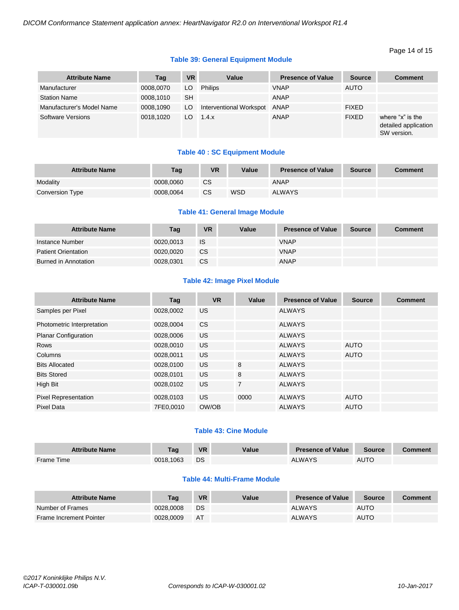#### Page 14 of 15

#### **Table 39: General Equipment Module**

| <b>Attribute Name</b>     | Tag       | <b>VR</b> | Value                   | <b>Presence of Value</b> | <b>Source</b> | <b>Comment</b>                                          |
|---------------------------|-----------|-----------|-------------------------|--------------------------|---------------|---------------------------------------------------------|
| Manufacturer              | 0008,0070 | LO.       | <b>Philips</b>          | <b>VNAP</b>              | <b>AUTO</b>   |                                                         |
| <b>Station Name</b>       | 0008.1010 | <b>SH</b> |                         | ANAP                     |               |                                                         |
| Manufacturer's Model Name | 0008.1090 | LO.       | Interventional Workspot | ANAP                     | <b>FIXED</b>  |                                                         |
| Software Versions         | 0018.1020 | LO.       | 1.4.x                   | ANAP                     | <b>FIXED</b>  | where "x" is the<br>detailed application<br>SW version. |

#### **Table 40 : SC Equipment Module**

| <b>Attribute Name</b> | Taq       | <b>VR</b> | Value | <b>Presence of Value</b> | <b>Source</b> | Comment |
|-----------------------|-----------|-----------|-------|--------------------------|---------------|---------|
| Modality              | 0008.0060 | <b>CS</b> |       | ANAP                     |               |         |
| Conversion Type       | 0008.0064 | CS        | WSD   | <b>ALWAYS</b>            |               |         |

#### **Table 41: General Image Module**

| <b>Attribute Name</b>      | Tag       | VR        | Value | <b>Presence of Value</b> | <b>Source</b> | <b>Comment</b> |
|----------------------------|-----------|-----------|-------|--------------------------|---------------|----------------|
| Instance Number            | 0020.0013 | IS        |       | <b>VNAP</b>              |               |                |
| <b>Patient Orientation</b> | 0020.0020 | <b>CS</b> |       | <b>VNAP</b>              |               |                |
| Burned in Annotation       | 0028.0301 | CS        |       | <b>ANAP</b>              |               |                |

#### **Table 42: Image Pixel Module**

| <b>Attribute Name</b>       | Tag       | <b>VR</b> | Value          | <b>Presence of Value</b> | <b>Source</b> | <b>Comment</b> |
|-----------------------------|-----------|-----------|----------------|--------------------------|---------------|----------------|
| Samples per Pixel           | 0028,0002 | US.       |                | ALWAYS                   |               |                |
| Photometric Interpretation  | 0028,0004 | <b>CS</b> |                | <b>ALWAYS</b>            |               |                |
| <b>Planar Configuration</b> | 0028,0006 | <b>US</b> |                | <b>ALWAYS</b>            |               |                |
| Rows                        | 0028,0010 | <b>US</b> |                | <b>ALWAYS</b>            | <b>AUTO</b>   |                |
| Columns                     | 0028,0011 | <b>US</b> |                | <b>ALWAYS</b>            | <b>AUTO</b>   |                |
| <b>Bits Allocated</b>       | 0028,0100 | <b>US</b> | 8              | <b>ALWAYS</b>            |               |                |
| <b>Bits Stored</b>          | 0028,0101 | <b>US</b> | 8              | <b>ALWAYS</b>            |               |                |
| High Bit                    | 0028,0102 | <b>US</b> | $\overline{7}$ | <b>ALWAYS</b>            |               |                |
| <b>Pixel Representation</b> | 0028,0103 | <b>US</b> | 0000           | <b>ALWAYS</b>            | <b>AUTO</b>   |                |
| Pixel Data                  | 7FE0,0010 | OW/OB     |                | <b>ALWAYS</b>            | <b>AUTO</b>   |                |

#### **Table 43: Cine Module**

| <b>Attribute Name</b> | Taq       | <b>VR</b> | Value | <b>Presence of Value</b> | <b>Source</b> | Comment |
|-----------------------|-----------|-----------|-------|--------------------------|---------------|---------|
| <b>Frame Time</b>     | 0018.1063 | DS        |       | <b>ALWAYS</b>            | <b>AUTO</b>   |         |

#### **Table 44: Multi-Frame Module**

| <b>Attribute Name</b>          | Taq       | <b>VR</b> | Value | <b>Presence of Value</b> | Source      | Comment |
|--------------------------------|-----------|-----------|-------|--------------------------|-------------|---------|
| Number of Frames               | 0028,0008 | DS        |       | <b>ALWAYS</b>            | <b>AUTO</b> |         |
| <b>Frame Increment Pointer</b> | 0028,0009 | <b>AT</b> |       | <b>ALWAYS</b>            | <b>AUTO</b> |         |